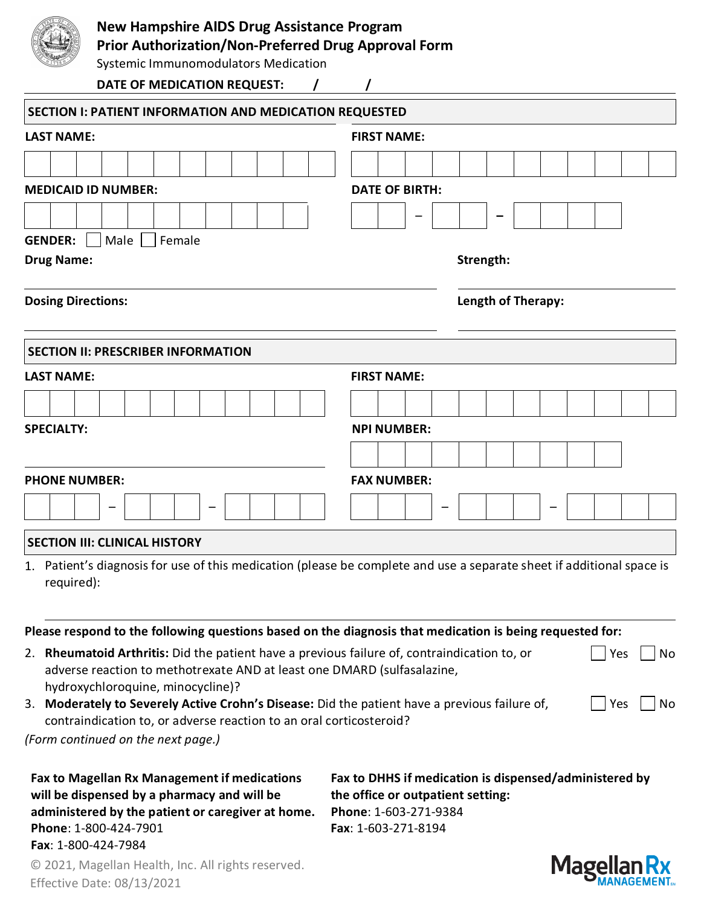| Nε  |
|-----|
| Pr  |
| Sy: |

## **New Hampshire AIDS Drug Assistance Program**

**Prior Authorization/Non-Preferred Drug Approval Form**

stemic Immunomodulators Medication

**DATE OF MEDICATION REQUEST: / /**

| <b>SECTION I: PATIENT INFORMATION AND MEDICATION REQUESTED</b>                                                                                                          |                                                                                                                       |
|-------------------------------------------------------------------------------------------------------------------------------------------------------------------------|-----------------------------------------------------------------------------------------------------------------------|
| <b>LAST NAME:</b>                                                                                                                                                       | <b>FIRST NAME:</b>                                                                                                    |
|                                                                                                                                                                         |                                                                                                                       |
| <b>MEDICAID ID NUMBER:</b>                                                                                                                                              | <b>DATE OF BIRTH:</b>                                                                                                 |
|                                                                                                                                                                         |                                                                                                                       |
| <b>GENDER:</b><br>Male<br>Female                                                                                                                                        |                                                                                                                       |
| <b>Drug Name:</b>                                                                                                                                                       | Strength:                                                                                                             |
|                                                                                                                                                                         |                                                                                                                       |
| <b>Dosing Directions:</b>                                                                                                                                               | <b>Length of Therapy:</b>                                                                                             |
| <b>SECTION II: PRESCRIBER INFORMATION</b>                                                                                                                               |                                                                                                                       |
| <b>LAST NAME:</b>                                                                                                                                                       | <b>FIRST NAME:</b>                                                                                                    |
|                                                                                                                                                                         |                                                                                                                       |
| <b>SPECIALTY:</b>                                                                                                                                                       | <b>NPI NUMBER:</b>                                                                                                    |
|                                                                                                                                                                         |                                                                                                                       |
| <b>PHONE NUMBER:</b>                                                                                                                                                    | <b>FAX NUMBER:</b>                                                                                                    |
|                                                                                                                                                                         |                                                                                                                       |
|                                                                                                                                                                         |                                                                                                                       |
| <b>SECTION III: CLINICAL HISTORY</b>                                                                                                                                    |                                                                                                                       |
|                                                                                                                                                                         | 1. Patient's diagnosis for use of this medication (please be complete and use a separate sheet if additional space is |
| required):                                                                                                                                                              |                                                                                                                       |
|                                                                                                                                                                         |                                                                                                                       |
| Please respond to the following questions based on the diagnosis that medication is being requested for:                                                                |                                                                                                                       |
| 2. Rheumatoid Arthritis: Did the patient have a previous failure of, contraindication to, or<br>adverse reaction to methotrexate AND at least one DMARD (sulfasalazine, | Yes<br>No                                                                                                             |
| hydroxychloroquine, minocycline)?                                                                                                                                       |                                                                                                                       |
| 3. Moderately to Severely Active Crohn's Disease: Did the patient have a previous failure of,                                                                           | Yes<br>No                                                                                                             |
| contraindication to, or adverse reaction to an oral corticosteroid?                                                                                                     |                                                                                                                       |
| (Form continued on the next page.)                                                                                                                                      |                                                                                                                       |
| <b>Fax to Magellan Rx Management if medications</b><br>will be dispensed by a pharmacy and will be                                                                      | Fax to DHHS if medication is dispensed/administered by<br>the office or outpatient setting:                           |
| administered by the patient or caregiver at home.                                                                                                                       | Phone: 1-603-271-9384                                                                                                 |
| Phone: 1-800-424-7901<br>Fax: 1-800-424-7984                                                                                                                            | Fax: 1-603-271-8194                                                                                                   |

© 2021, Magellan Health, Inc. All rights reserved. Effective Date: 08/13/2021

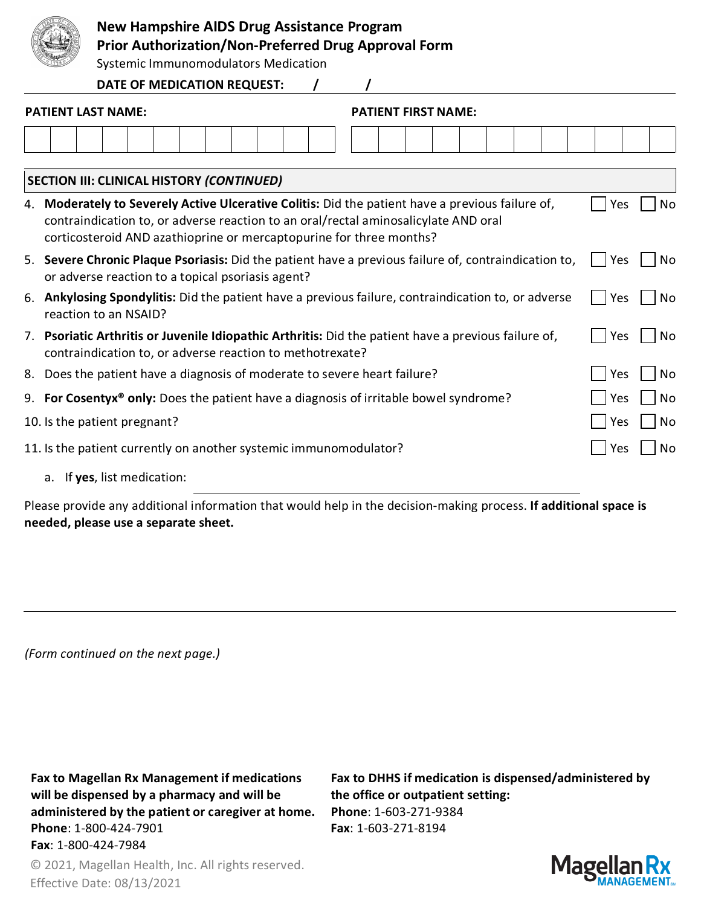

## **New Hampshire AIDS Drug Assistance Program**

**Prior Authorization/Non-Preferred Drug Approval Form**

Systemic Immunomodulators Medication

**DATE OF MEDICATION REQUEST: / /**

| <b>PATIENT LAST NAME:</b>                                                                                                                                         |                                                                                                                                                                                                                                                                |  | <b>PATIENT FIRST NAME:</b> |     |            |    |    |            |    |  |
|-------------------------------------------------------------------------------------------------------------------------------------------------------------------|----------------------------------------------------------------------------------------------------------------------------------------------------------------------------------------------------------------------------------------------------------------|--|----------------------------|-----|------------|----|----|------------|----|--|
|                                                                                                                                                                   |                                                                                                                                                                                                                                                                |  |                            |     |            |    |    |            |    |  |
|                                                                                                                                                                   | <b>SECTION III: CLINICAL HISTORY (CONTINUED)</b>                                                                                                                                                                                                               |  |                            |     |            |    |    |            |    |  |
|                                                                                                                                                                   | 4. Moderately to Severely Active Ulcerative Colitis: Did the patient have a previous failure of,<br>contraindication to, or adverse reaction to an oral/rectal aminosalicylate AND oral<br>corticosteroid AND azathioprine or mercaptopurine for three months? |  |                            |     |            |    |    | Yes        | No |  |
| 5. Severe Chronic Plaque Psoriasis: Did the patient have a previous failure of, contraindication to,<br>or adverse reaction to a topical psoriasis agent?         |                                                                                                                                                                                                                                                                |  |                            |     | <b>Yes</b> | No |    |            |    |  |
|                                                                                                                                                                   | 6. Ankylosing Spondylitis: Did the patient have a previous failure, contraindication to, or adverse<br>Yes<br>reaction to an NSAID?                                                                                                                            |  |                            |     |            |    | No |            |    |  |
| 7. Psoriatic Arthritis or Juvenile Idiopathic Arthritis: Did the patient have a previous failure of,<br>contraindication to, or adverse reaction to methotrexate? |                                                                                                                                                                                                                                                                |  |                            | Yes | No         |    |    |            |    |  |
| Does the patient have a diagnosis of moderate to severe heart failure?<br>8.                                                                                      |                                                                                                                                                                                                                                                                |  |                            | Yes | No         |    |    |            |    |  |
|                                                                                                                                                                   | 9. For Cosentyx <sup>®</sup> only: Does the patient have a diagnosis of irritable bowel syndrome?                                                                                                                                                              |  |                            |     |            |    |    | <b>Yes</b> | No |  |
|                                                                                                                                                                   | 10. Is the patient pregnant?                                                                                                                                                                                                                                   |  |                            |     |            |    |    | <b>Yes</b> | No |  |
|                                                                                                                                                                   | 11. Is the patient currently on another systemic immunomodulator?                                                                                                                                                                                              |  |                            |     |            |    |    | Yes        | No |  |
|                                                                                                                                                                   | a. If yes, list medication:                                                                                                                                                                                                                                    |  |                            |     |            |    |    |            |    |  |

Please provide any additional information that would help in the decision-making process. **If additional space is needed, please use a separate sheet.**

*(Form continued on the next page.)*

**Fax to Magellan Rx Management if medications will be dispensed by a pharmacy and will be administered by the patient or caregiver at home. Phone**: 1-800-424-7901 **Fax**: 1-800-424-7984

**Fax to DHHS if medication is dispensed/administered by the office or outpatient setting: Phone**: 1-603-271-9384 **Fax**: 1-603-271-8194



© 2021, Magellan Health, Inc. All rights reserved. Effective Date: 08/13/2021